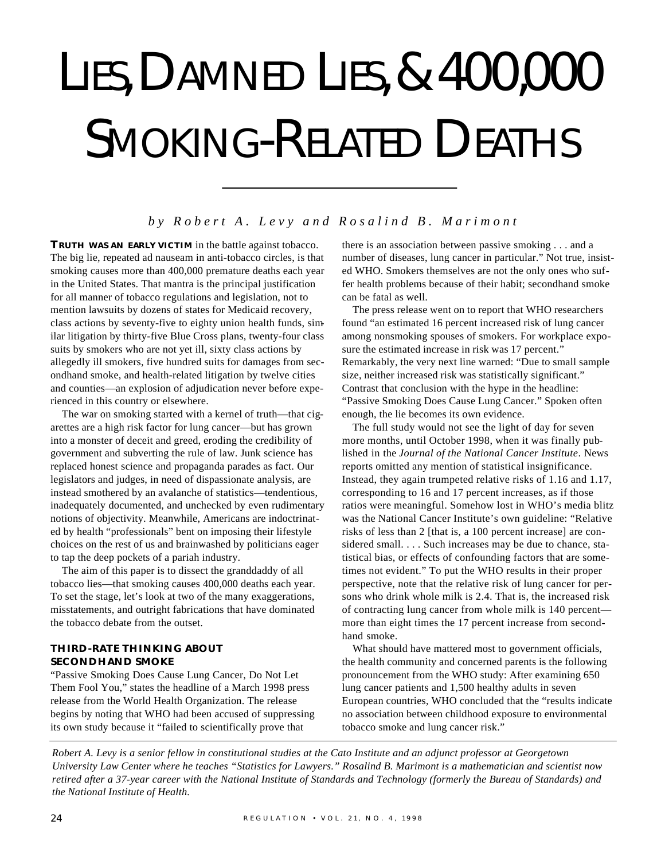# LIES, DAMNEDLIES, & 400,000 SMOKING-RELATED DEATHS

# *by Robert A. Levy and Rosalind B. Marimon t*

**TRUTH WAS AN EARLY VICTIM** in the battle against tobacco. The big lie, repeated ad nauseam in anti-tobacco circles, is that smoking causes more than 400,000 premature deaths each year in the United States. That mantra is the principal justification for all manner of tobacco regulations and legislation, not to mention lawsuits by dozens of states for Medicaid recovery, class actions by seventy-five to eighty union health funds, similar litigation by thirty-five Blue Cross plans, twenty-four class suits by smokers who are not yet ill, sixty class actions by allegedly ill smokers, five hundred suits for damages from secondhand smoke, and health-related litigation by twelve cities and counties—an explosion of adjudication never before experienced in this country or elsewhere.

The war on smoking started with a kernel of truth—that cigarettes are a high risk factor for lung cancer—but has grown into a monster of deceit and greed, eroding the credibility of government and subverting the rule of law. Junk science has replaced honest science and propaganda parades as fact. Our legislators and judges, in need of dispassionate analysis, are instead smothered by an avalanche of statistics—tendentious, inadequately documented, and unchecked by even rudimentary notions of objectivity. Meanwhile, Americans are indoctrinated by health "professionals" bent on imposing their lifestyle choices on the rest of us and brainwashed by politicians eager to tap the deep pockets of a pariah industry.

The aim of this paper is to dissect the granddaddy of all tobacco lies—that smoking causes 400,000 deaths each year. To set the stage, let's look at two of the many exaggerations, misstatements, and outright fabrications that have dominated the tobacco debate from the outset.

#### **THIRD-RATE THINKING ABOUT SECONDHAND SMOKE**

"Passive Smoking Does Cause Lung Cancer, Do Not Let Them Fool You," states the headline of a March 1998 press release from the World Health Organization. The release begins by noting that WHO had been accused of suppressing its own study because it "failed to scientifically prove that

there is an association between passive smoking . . . and a number of diseases, lung cancer in particular." Not true, insisted WHO. Smokers themselves are not the only ones who suffer health problems because of their habit; secondhand smoke can be fatal as well.

The press release went on to report that WHO researchers found "an estimated 16 percent increased risk of lung cancer among nonsmoking spouses of smokers. For workplace exposure the estimated increase in risk was 17 percent." Remarkably, the very next line warned: "Due to small sample size, neither increased risk was statistically significant." Contrast that conclusion with the hype in the headline: "Passive Smoking Does Cause Lung Cancer." Spoken often enough, the lie becomes its own evidence.

The full study would not see the light of day for seven more months, until October 1998, when it was finally published in the *Journal of the National Cancer Institute*. News reports omitted any mention of statistical insignificance. Instead, they again trumpeted relative risks of 1.16 and 1.17, corresponding to 16 and 17 percent increases, as if those ratios were meaningful. Somehow lost in WHO's media blitz was the National Cancer Institute's own guideline: "Relative risks of less than 2 [that is, a 100 percent increase] are considered small. . . . Such increases may be due to chance, statistical bias, or effects of confounding factors that are sometimes not evident." To put the WHO results in their proper perspective, note that the relative risk of lung cancer for persons who drink whole milk is 2.4. That is, the increased risk of contracting lung cancer from whole milk is 140 percent more than eight times the 17 percent increase from secondhand smoke.

What should have mattered most to government officials, the health community and concerned parents is the following pronouncement from the WHO study: After examining 650 lung cancer patients and 1,500 healthy adults in seven European countries, WHO concluded that the "results indicate no association between childhood exposure to environmental tobacco smoke and lung cancer risk."

*Robert A. Levy is a senior fellow in constitutional studies at the Cato Institute and an adjunct professor at Georgetown University Law Center where he teaches "Statistics for Lawyers." Rosalind B. Marimont is a mathematician and scientist now retired after a 37-year career with the National Institute of Standards and Technology (formerly the Bureau of Standards) and the National Institute of Health.*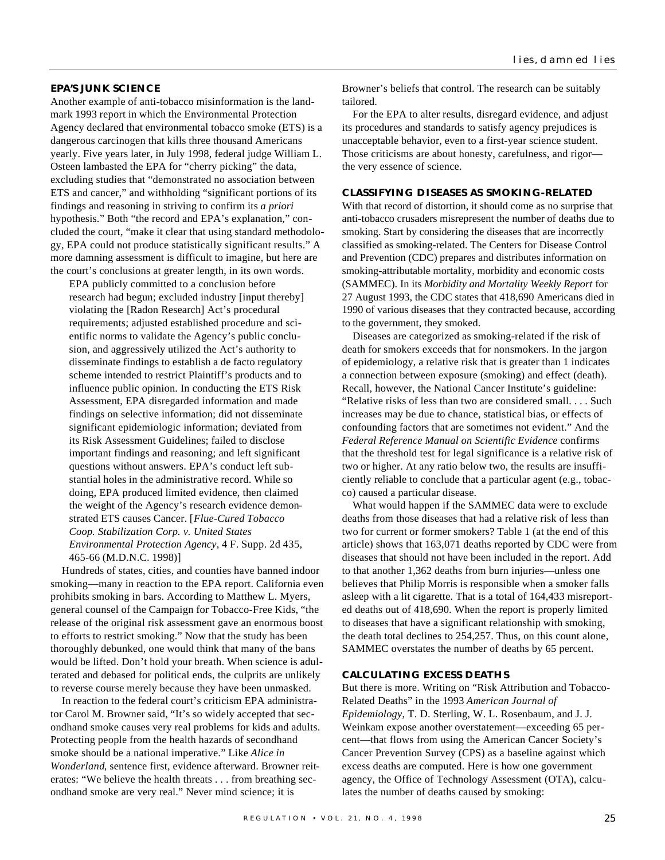#### **EPA'S JUNK SCIENCE**

Another example of anti-tobacco misinformation is the landmark 1993 report in which the Environmental Protection Agency declared that environmental tobacco smoke (ETS) is a dangerous carcinogen that kills three thousand Americans yearly. Five years later, in July 1998, federal judge William L. Osteen lambasted the EPA for "cherry picking" the data, excluding studies that "demonstrated no association between ETS and cancer," and withholding "significant portions of its findings and reasoning in striving to confirm its *a priori* hypothesis." Both "the record and EPA's explanation," concluded the court, "make it clear that using standard methodology, EPA could not produce statistically significant results." A more damning assessment is difficult to imagine, but here are the court's conclusions at greater length, in its own words.

EPA publicly committed to a conclusion before research had begun; excluded industry [input thereby] violating the [Radon Research] Act's procedural requirements; adjusted established procedure and scientific norms to validate the Agency's public conclusion, and aggressively utilized the Act's authority to disseminate findings to establish a de facto regulatory scheme intended to restrict Plaintiff's products and to influence public opinion. In conducting the ETS Risk Assessment, EPA disregarded information and made findings on selective information; did not disseminate significant epidemiologic information; deviated from its Risk Assessment Guidelines; failed to disclose important findings and reasoning; and left significant questions without answers. EPA's conduct left substantial holes in the administrative record. While so doing, EPA produced limited evidence, then claimed the weight of the Agency's research evidence demonstrated ETS causes Cancer. [*Flue-Cured Tobacco Coop. Stabilization Corp. v. United States Environmental Protection Agency*, 4 F. Supp. 2d 435, 465-66 (M.D.N.C. 1998)]

Hundreds of states, cities, and counties have banned indoor smoking—many in reaction to the EPA report. California even prohibits smoking in bars. According to Matthew L. Myers, general counsel of the Campaign for Tobacco-Free Kids, "the release of the original risk assessment gave an enormous boost to efforts to restrict smoking." Now that the study has been thoroughly debunked, one would think that many of the bans would be lifted. Don't hold your breath. When science is adulterated and debased for political ends, the culprits are unlikely to reverse course merely because they have been unmasked.

In reaction to the federal court's criticism EPA administrator Carol M. Browner said, "It's so widely accepted that secondhand smoke causes very real problems for kids and adults. Protecting people from the health hazards of secondhand smoke should be a national imperative." Like *Alice in Wonderland*, sentence first, evidence afterward. Browner reiterates: "We believe the health threats . . . from breathing secondhand smoke are very real." Never mind science; it is

Browner's beliefs that control. The research can be suitably tailored.

For the EPA to alter results, disregard evidence, and adjust its procedures and standards to satisfy agency prejudices is unacceptable behavior, even to a first-year science student. Those criticisms are about honesty, carefulness, and rigor the very essence of science.

#### **CLASSIFYING DISEASES AS SMOKING-RELATED**

With that record of distortion, it should come as no surprise that anti-tobacco crusaders misrepresent the number of deaths due to smoking. Start by considering the diseases that are incorrectly classified as smoking-related. The Centers for Disease Control and Prevention (CDC) prepares and distributes information on smoking-attributable mortality, morbidity and economic costs (SAMMEC). In its *Morbidity and Mortality Weekly Report* for 27 August 1993, the CDC states that 418,690 Americans died in 1990 of various diseases that they contracted because, according to the government, they smoked.

Diseases are categorized as smoking-related if the risk of death for smokers exceeds that for nonsmokers. In the jargon of epidemiology, a relative risk that is greater than 1 indicates a connection between exposure (smoking) and effect (death). Recall, however, the National Cancer Institute's guideline: "Relative risks of less than two are considered small. . . . Such increases may be due to chance, statistical bias, or effects of confounding factors that are sometimes not evident." And the *Federal Reference Manual on Scientific Evidence* confirms that the threshold test for legal significance is a relative risk of two or higher. At any ratio below two, the results are insufficiently reliable to conclude that a particular agent (e.g., tobacco) caused a particular disease.

What would happen if the SAMMEC data were to exclude deaths from those diseases that had a relative risk of less than two for current or former smokers? Table 1 (at the end of this article) shows that 163,071 deaths reported by CDC were from diseases that should not have been included in the report. Add to that another 1,362 deaths from burn injuries—unless one believes that Philip Morris is responsible when a smoker falls asleep with a lit cigarette. That is a total of 164,433 misreported deaths out of 418,690. When the report is properly limited to diseases that have a significant relationship with smoking, the death total declines to 254,257. Thus, on this count alone, SAMMEC overstates the number of deaths by 65 percent.

#### **CALCULATING EXCESS DEATHS**

But there is more. Writing on "Risk Attribution and Tobacco-Related Deaths" in the 1993 *American Journal of Epidemiology*, T. D. Sterling, W. L. Rosenbaum, and J. J. Weinkam expose another overstatement—exceeding 65 percent—that flows from using the American Cancer Society's Cancer Prevention Survey (CPS) as a baseline against which excess deaths are computed. Here is how one government agency, the Office of Technology Assessment (OTA), calculates the number of deaths caused by smoking: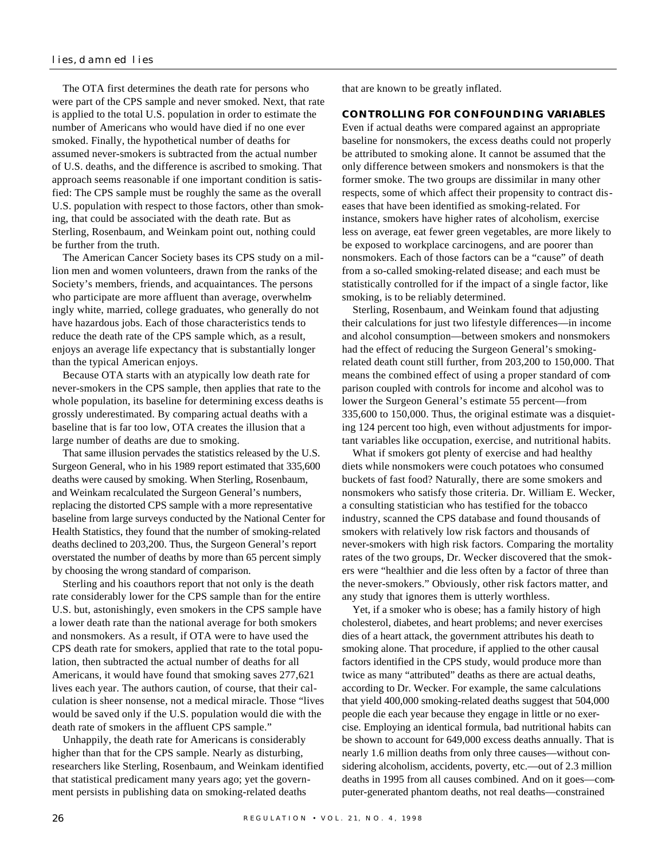The OTA first determines the death rate for persons who were part of the CPS sample and never smoked. Next, that rate is applied to the total U.S. population in order to estimate the number of Americans who would have died if no one ever smoked. Finally, the hypothetical number of deaths for assumed never-smokers is subtracted from the actual number of U.S. deaths, and the difference is ascribed to smoking. That approach seems reasonable if one important condition is satisfied: The CPS sample must be roughly the same as the overall U.S. population with respect to those factors, other than smoking, that could be associated with the death rate. But as Sterling, Rosenbaum, and Weinkam point out, nothing could be further from the truth.

The American Cancer Society bases its CPS study on a million men and women volunteers, drawn from the ranks of the Society's members, friends, and acquaintances. The persons who participate are more affluent than average, overwhelmingly white, married, college graduates, who generally do not have hazardous jobs. Each of those characteristics tends to reduce the death rate of the CPS sample which, as a result, enjoys an average life expectancy that is substantially longer than the typical American enjoys.

Because OTA starts with an atypically low death rate for never-smokers in the CPS sample, then applies that rate to the whole population, its baseline for determining excess deaths is grossly underestimated. By comparing actual deaths with a baseline that is far too low, OTA creates the illusion that a large number of deaths are due to smoking.

That same illusion pervades the statistics released by the U.S. Surgeon General, who in his 1989 report estimated that 335,600 deaths were caused by smoking. When Sterling, Rosenbaum, and Weinkam recalculated the Surgeon General's numbers, replacing the distorted CPS sample with a more representative baseline from large surveys conducted by the National Center for Health Statistics, they found that the number of smoking-related deaths declined to 203,200. Thus, the Surgeon General's report overstated the number of deaths by more than 65 percent simply by choosing the wrong standard of comparison.

Sterling and his coauthors report that not only is the death rate considerably lower for the CPS sample than for the entire U.S. but, astonishingly, even smokers in the CPS sample have a lower death rate than the national average for both smokers and nonsmokers. As a result, if OTA were to have used the CPS death rate for smokers, applied that rate to the total population, then subtracted the actual number of deaths for all Americans, it would have found that smoking saves 277,621 lives each year. The authors caution, of course, that their calculation is sheer nonsense, not a medical miracle. Those "lives would be saved only if the U.S. population would die with the death rate of smokers in the affluent CPS sample."

Unhappily, the death rate for Americans is considerably higher than that for the CPS sample. Nearly as disturbing, researchers like Sterling, Rosenbaum, and Weinkam identified that statistical predicament many years ago; yet the government persists in publishing data on smoking-related deaths

that are known to be greatly inflated.

#### **CONTROLLING FOR CONFOUNDING VARIABLES**

Even if actual deaths were compared against an appropriate baseline for nonsmokers, the excess deaths could not properly be attributed to smoking alone. It cannot be assumed that the only difference between smokers and nonsmokers is that the former smoke. The two groups are dissimilar in many other respects, some of which affect their propensity to contract diseases that have been identified as smoking-related. For instance, smokers have higher rates of alcoholism, exercise less on average, eat fewer green vegetables, are more likely to be exposed to workplace carcinogens, and are poorer than nonsmokers. Each of those factors can be a "cause" of death from a so-called smoking-related disease; and each must be statistically controlled for if the impact of a single factor, like smoking, is to be reliably determined.

Sterling, Rosenbaum, and Weinkam found that adjusting their calculations for just two lifestyle differences—in income and alcohol consumption—between smokers and nonsmokers had the effect of reducing the Surgeon General's smokingrelated death count still further, from 203,200 to 150,000. That means the combined effect of using a proper standard of comparison coupled with controls for income and alcohol was to lower the Surgeon General's estimate 55 percent—from 335,600 to 150,000. Thus, the original estimate was a disquieting 124 percent too high, even without adjustments for important variables like occupation, exercise, and nutritional habits.

What if smokers got plenty of exercise and had healthy diets while nonsmokers were couch potatoes who consumed buckets of fast food? Naturally, there are some smokers and nonsmokers who satisfy those criteria. Dr. William E. Wecker, a consulting statistician who has testified for the tobacco industry, scanned the CPS database and found thousands of smokers with relatively low risk factors and thousands of never-smokers with high risk factors. Comparing the mortality rates of the two groups, Dr. Wecker discovered that the smokers were "healthier and die less often by a factor of three than the never-smokers." Obviously, other risk factors matter, and any study that ignores them is utterly worthless.

Yet, if a smoker who is obese; has a family history of high cholesterol, diabetes, and heart problems; and never exercises dies of a heart attack, the government attributes his death to smoking alone. That procedure, if applied to the other causal factors identified in the CPS study, would produce more than twice as many "attributed" deaths as there are actual deaths, according to Dr. Wecker. For example, the same calculations that yield 400,000 smoking-related deaths suggest that 504,000 people die each year because they engage in little or no exercise. Employing an identical formula, bad nutritional habits can be shown to account for 649,000 excess deaths annually. That is nearly 1.6 million deaths from only three causes—without considering alcoholism, accidents, poverty, etc.—out of 2.3 million deaths in 1995 from all causes combined. And on it goes—computer-generated phantom deaths, not real deaths—constrained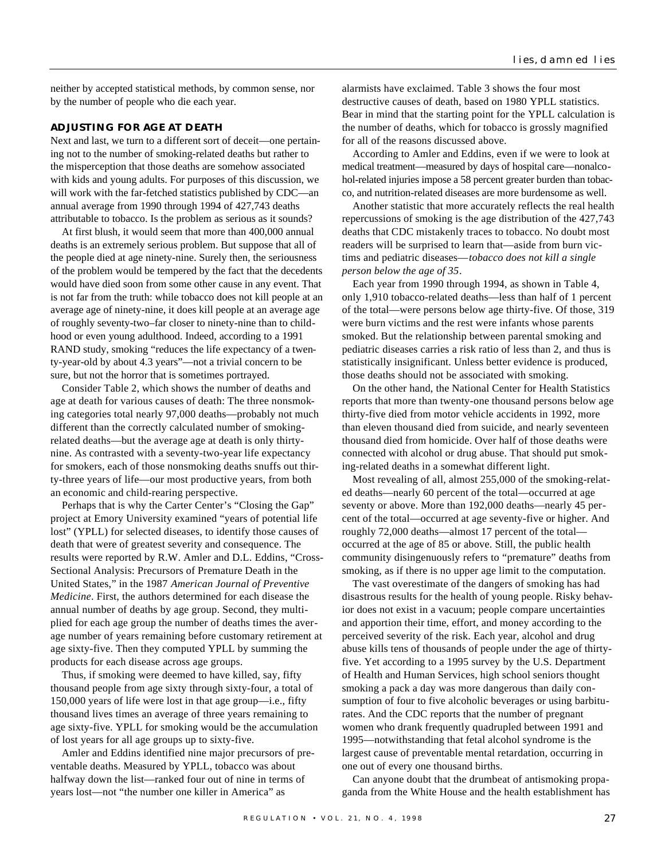neither by accepted statistical methods, by common sense, nor by the number of people who die each year.

#### **ADJUSTING FOR AGE AT DEATH**

Next and last, we turn to a different sort of deceit—one pertaining not to the number of smoking-related deaths but rather to the misperception that those deaths are somehow associated with kids and young adults. For purposes of this discussion, we will work with the far-fetched statistics published by CDC—an annual average from 1990 through 1994 of 427,743 deaths attributable to tobacco. Is the problem as serious as it sounds?

At first blush, it would seem that more than 400,000 annual deaths is an extremely serious problem. But suppose that all of the people died at age ninety-nine. Surely then, the seriousness of the problem would be tempered by the fact that the decedents would have died soon from some other cause in any event. That is not far from the truth: while tobacco does not kill people at an average age of ninety-nine, it does kill people at an average age of roughly seventy-two–far closer to ninety-nine than to childhood or even young adulthood. Indeed, according to a 1991 RAND study, smoking "reduces the life expectancy of a twenty-year-old by about 4.3 years"—not a trivial concern to be sure, but not the horror that is sometimes portrayed.

Consider Table 2, which shows the number of deaths and age at death for various causes of death: The three nonsmoking categories total nearly 97,000 deaths—probably not much different than the correctly calculated number of smokingrelated deaths—but the average age at death is only thirtynine. As contrasted with a seventy-two-year life expectancy for smokers, each of those nonsmoking deaths snuffs out thirty-three years of life—our most productive years, from both an economic and child-rearing perspective.

Perhaps that is why the Carter Center's "Closing the Gap" project at Emory University examined "years of potential life lost" (YPLL) for selected diseases, to identify those causes of death that were of greatest severity and consequence. The results were reported by R.W. Amler and D.L. Eddins, "Cross-Sectional Analysis: Precursors of Premature Death in the United States," in the 1987 *American Journal of Preventive Medicine*. First, the authors determined for each disease the annual number of deaths by age group. Second, they multiplied for each age group the number of deaths times the average number of years remaining before customary retirement at age sixty-five. Then they computed YPLL by summing the products for each disease across age groups.

Thus, if smoking were deemed to have killed, say, fifty thousand people from age sixty through sixty-four, a total of 150,000 years of life were lost in that age group—i.e., fifty thousand lives times an average of three years remaining to age sixty-five. YPLL for smoking would be the accumulation of lost years for all age groups up to sixty-five.

Amler and Eddins identified nine major precursors of preventable deaths. Measured by YPLL, tobacco was about halfway down the list—ranked four out of nine in terms of years lost—not "the number one killer in America" as

alarmists have exclaimed. Table 3 shows the four most destructive causes of death, based on 1980 YPLL statistics. Bear in mind that the starting point for the YPLL calculation is the number of deaths, which for tobacco is grossly magnified for all of the reasons discussed above.

According to Amler and Eddins, even if we were to look at medical treatment—measured by days of hospital care—nonalcohol-related injuries impose a 58 percent greater burden than tobacco, and nutrition-related diseases are more burdensome as well.

Another statistic that more accurately reflects the real health repercussions of smoking is the age distribution of the 427,743 deaths that CDC mistakenly traces to tobacco. No doubt most readers will be surprised to learn that—aside from burn victims and pediatric diseases—*tobacco does not kill a single person below the age of 35*.

Each year from 1990 through 1994, as shown in Table 4, only 1,910 tobacco-related deaths—less than half of 1 percent of the total—were persons below age thirty-five. Of those, 319 were burn victims and the rest were infants whose parents smoked. But the relationship between parental smoking and pediatric diseases carries a risk ratio of less than 2, and thus is statistically insignificant. Unless better evidence is produced, those deaths should not be associated with smoking.

On the other hand, the National Center for Health Statistics reports that more than twenty-one thousand persons below age thirty-five died from motor vehicle accidents in 1992, more than eleven thousand died from suicide, and nearly seventeen thousand died from homicide. Over half of those deaths were connected with alcohol or drug abuse. That should put smoking-related deaths in a somewhat different light.

Most revealing of all, almost 255,000 of the smoking-related deaths—nearly 60 percent of the total—occurred at age seventy or above. More than 192,000 deaths—nearly 45 percent of the total—occurred at age seventy-five or higher. And roughly 72,000 deaths—almost 17 percent of the total occurred at the age of 85 or above. Still, the public health community disingenuously refers to "premature" deaths from smoking, as if there is no upper age limit to the computation.

The vast overestimate of the dangers of smoking has had disastrous results for the health of young people. Risky behavior does not exist in a vacuum; people compare uncertainties and apportion their time, effort, and money according to the perceived severity of the risk. Each year, alcohol and drug abuse kills tens of thousands of people under the age of thirtyfive. Yet according to a 1995 survey by the U.S. Department of Health and Human Services, high school seniors thought smoking a pack a day was more dangerous than daily consumption of four to five alcoholic beverages or using barbiturates. And the CDC reports that the number of pregnant women who drank frequently quadrupled between 1991 and 1995—notwithstanding that fetal alcohol syndrome is the largest cause of preventable mental retardation, occurring in one out of every one thousand births.

Can anyone doubt that the drumbeat of antismoking propaganda from the White House and the health establishment has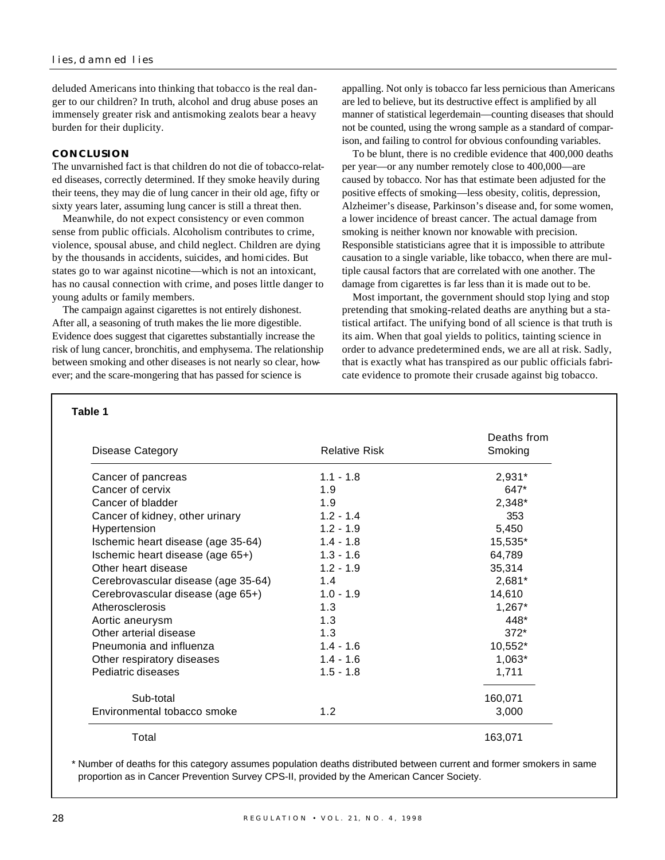deluded Americans into thinking that tobacco is the real danger to our children? In truth, alcohol and drug abuse poses an immensely greater risk and antismoking zealots bear a heavy burden for their duplicity.

#### **CONCLUSION**

The unvarnished fact is that children do not die of tobacco-related diseases, correctly determined. If they smoke heavily during their teens, they may die of lung cancer in their old age, fifty or sixty years later, assuming lung cancer is still a threat then.

Meanwhile, do not expect consistency or even common sense from public officials. Alcoholism contributes to crime, violence, spousal abuse, and child neglect. Children are dying by the thousands in accidents, suicides, and homicides. But states go to war against nicotine—which is not an intoxicant, has no causal connection with crime, and poses little danger to young adults or family members.

The campaign against cigarettes is not entirely dishonest. After all, a seasoning of truth makes the lie more digestible. Evidence does suggest that cigarettes substantially increase the risk of lung cancer, bronchitis, and emphysema. The relationship between smoking and other diseases is not nearly so clear, however; and the scare-mongering that has passed for science is

appalling. Not only is tobacco far less pernicious than Americans are led to believe, but its destructive effect is amplified by all manner of statistical legerdemain—counting diseases that should not be counted, using the wrong sample as a standard of comparison, and failing to control for obvious confounding variables.

To be blunt, there is no credible evidence that 400,000 deaths per year—or any number remotely close to 400,000—are caused by tobacco. Nor has that estimate been adjusted for the positive effects of smoking—less obesity, colitis, depression, Alzheimer's disease, Parkinson's disease and, for some women, a lower incidence of breast cancer. The actual damage from smoking is neither known nor knowable with precision. Responsible statisticians agree that it is impossible to attribute causation to a single variable, like tobacco, when there are multiple causal factors that are correlated with one another. The damage from cigarettes is far less than it is made out to be.

Most important, the government should stop lying and stop pretending that smoking-related deaths are anything but a statistical artifact. The unifying bond of all science is that truth is its aim. When that goal yields to politics, tainting science in order to advance predetermined ends, we are all at risk. Sadly, that is exactly what has transpired as our public officials fabricate evidence to promote their crusade against big tobacco.

### **Table 1**

| Disease Category                    | <b>Relative Risk</b> | Deaths from<br>Smoking |
|-------------------------------------|----------------------|------------------------|
| Cancer of pancreas                  | $1.1 - 1.8$          | $2,931*$               |
| Cancer of cervix                    | 1.9                  | 647*                   |
| Cancer of bladder                   | 1.9                  | 2,348*                 |
| Cancer of kidney, other urinary     | $1.2 - 1.4$          | 353                    |
| Hypertension                        | $1.2 - 1.9$          | 5,450                  |
| Ischemic heart disease (age 35-64)  | $1.4 - 1.8$          | 15,535*                |
| Ischemic heart disease (age 65+)    | $1.3 - 1.6$          | 64,789                 |
| Other heart disease                 | $1.2 - 1.9$          | 35,314                 |
| Cerebrovascular disease (age 35-64) | 1.4                  | 2,681*                 |
| Cerebrovascular disease (age 65+)   | $1.0 - 1.9$          | 14,610                 |
| Atherosclerosis                     | 1.3                  | $1,267*$               |
| Aortic aneurysm                     | 1.3                  | 448*                   |
| Other arterial disease              | 1.3                  | $372*$                 |
| Pneumonia and influenza             | $1.4 - 1.6$          | 10,552*                |
| Other respiratory diseases          | $1.4 - 1.6$          | $1,063*$               |
| Pediatric diseases                  | $1.5 - 1.8$          | 1,711                  |
| Sub-total                           |                      | 160,071                |
| Environmental tobacco smoke         | 1.2                  | 3,000                  |
| Total                               |                      | 163,071                |

\* Number of deaths for this category assumes population deaths distributed between current and former smokers in same proportion as in Cancer Prevention Survey CPS-II, provided by the American Cancer Society.